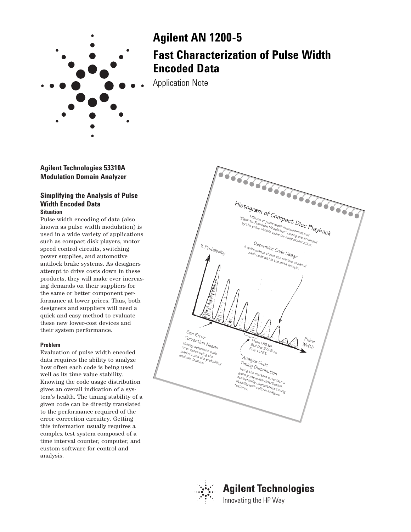

# **Agilent AN 1200-5 Fast Characterization of Pulse Width Encoded Data**

Application Note

**Agilent Technologies 53310A Modulation Domain Analyzer**

## **Simplifying the Analysis of Pulse Width Encoded Data Situation**

Pulse width encoding of data (also known as pulse width modulation) is used in a wide variety of applications such as compact disk players, motor speed control circuits, switching power supplies, and automotive antilock brake systems. As designers attempt to drive costs down in these products, they will make ever increasing demands on their suppliers for the same or better component performance at lower prices. Thus, both designers and suppliers will need a quick and easy method to evaluate these new lower-cost devices and their system performance.

### **Problem**

Evaluation of pulse width encoded data requires the ability to analyze how often each code is being used well as its time value stability. Knowing the code usage distribution gives an overall indication of a system's health. The timing stability of a given code can be directly translated to the performance required of the error correction circuitry. Getting this information usually requires a complex test system composed of a time interval counter, computer, and custom software for control and analysis.





# **Agilent Technologies** Innovating the HP Way